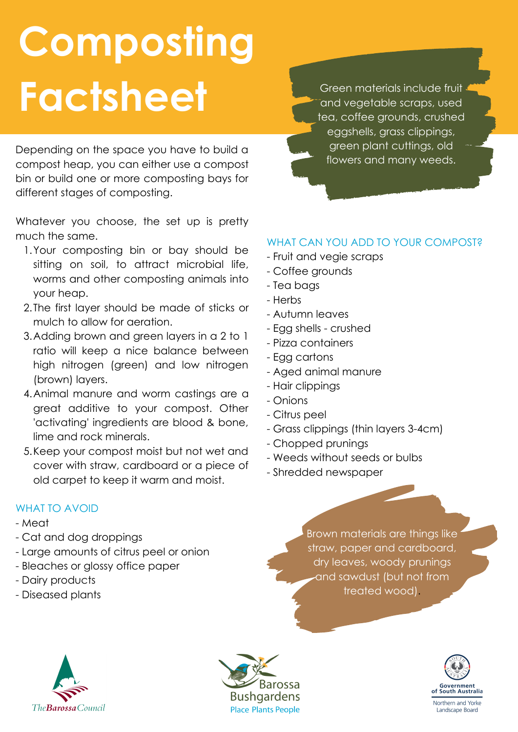# **Composting Factsheet**

Depending on the space you have to build a compost heap, you can either use a compost bin or build one or more composting bays for different stages of composting.

Whatever you choose, the set up is pretty much the same.

- 1. Your composting bin or bay should be sitting on soil, to attract microbial life, worms and other composting animals into your heap.
- 2. The first layer should be made of sticks or mulch to allow for aeration.
- Adding brown and green layers in a 2 to 1 3. ratio will keep a nice balance between high nitrogen (green) and low nitrogen (brown) layers.
- Animal manure and worm castings are a 4. great additive to your compost. Other 'activating' ingredients are blood & bone, lime and rock minerals.
- 5. Keep your compost moist but not wet and cover with straw, cardboard or a piece of old carpet to keep it warm and moist.

Green materials include fruit and vegetable scraps, used tea, coffee grounds, crushed eggshells, grass clippings, green plant cuttings, old flowers and many weeds.

### WHAT CAN YOU ADD TO YOUR COMPOST?

- Fruit and vegie scraps
- Coffee grounds
- Tea bags
- Herbs
- Autumn leaves
- Egg shells crushed
- Pizza containers
- Egg cartons
- Aged animal manure
- Hair clippings
- Onions
- Citrus peel
- Grass clippings (thin layers 3-4cm)
- Chopped prunings
- Weeds without seeds or bulbs
- Shredded newspaper

#### WHAT TO AVOID

- Meat
- Cat and dog droppings
- Large amounts of citrus peel or onion
- Bleaches or glossy office paper
- Dairy products
- Diseased plants

Brown materials are things like straw, paper and cardboard, dry leaves, woody prunings and sawdust (but not from treated wood).